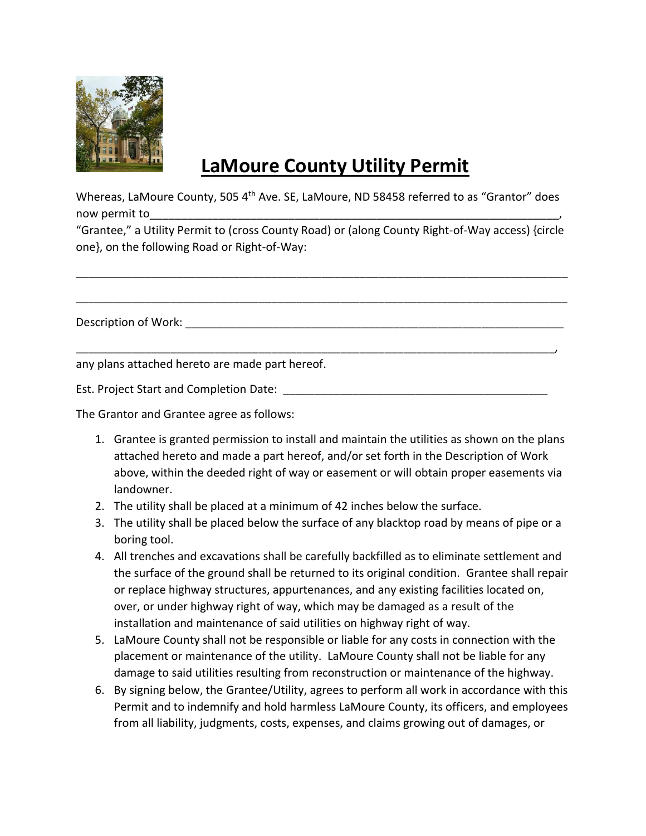

## **LaMoure County Utility Permit**

Whereas, LaMoure County, 505 4<sup>th</sup> Ave. SE, LaMoure, ND 58458 referred to as "Grantor" does now permit to

"Grantee," a Utility Permit to (cross County Road) or (along County Right-of-Way access) {circle one}, on the following Road or Right-of-Way:

\_\_\_\_\_\_\_\_\_\_\_\_\_\_\_\_\_\_\_\_\_\_\_\_\_\_\_\_\_\_\_\_\_\_\_\_\_\_\_\_\_\_\_\_\_\_\_\_\_\_\_\_\_\_\_\_\_\_\_\_\_\_\_\_\_\_\_\_\_\_\_\_\_\_\_\_\_\_

\_\_\_\_\_\_\_\_\_\_\_\_\_\_\_\_\_\_\_\_\_\_\_\_\_\_\_\_\_\_\_\_\_\_\_\_\_\_\_\_\_\_\_\_\_\_\_\_\_\_\_\_\_\_\_\_\_\_\_\_\_\_\_\_\_\_\_\_\_\_\_\_\_\_\_\_\_\_

\_\_\_\_\_\_\_\_\_\_\_\_\_\_\_\_\_\_\_\_\_\_\_\_\_\_\_\_\_\_\_\_\_\_\_\_\_\_\_\_\_\_\_\_\_\_\_\_\_\_\_\_\_\_\_\_\_\_\_\_\_\_\_\_\_\_\_\_\_\_\_\_\_\_\_\_,

Description of Work: \_\_\_\_\_\_\_\_\_\_\_\_\_\_\_\_\_\_\_\_\_\_\_\_\_\_\_\_\_\_\_\_\_\_\_\_\_\_\_\_\_\_\_\_\_\_\_\_\_\_\_\_\_\_\_\_\_\_\_\_

any plans attached hereto are made part hereof.

Est. Project Start and Completion Date:  $\Box$ 

The Grantor and Grantee agree as follows:

- 1. Grantee is granted permission to install and maintain the utilities as shown on the plans attached hereto and made a part hereof, and/or set forth in the Description of Work above, within the deeded right of way or easement or will obtain proper easements via landowner.
- 2. The utility shall be placed at a minimum of 42 inches below the surface.
- 3. The utility shall be placed below the surface of any blacktop road by means of pipe or a boring tool.
- 4. All trenches and excavations shall be carefully backfilled as to eliminate settlement and the surface of the ground shall be returned to its original condition. Grantee shall repair or replace highway structures, appurtenances, and any existing facilities located on, over, or under highway right of way, which may be damaged as a result of the installation and maintenance of said utilities on highway right of way.
- 5. LaMoure County shall not be responsible or liable for any costs in connection with the placement or maintenance of the utility. LaMoure County shall not be liable for any damage to said utilities resulting from reconstruction or maintenance of the highway.
- 6. By signing below, the Grantee/Utility, agrees to perform all work in accordance with this Permit and to indemnify and hold harmless LaMoure County, its officers, and employees from all liability, judgments, costs, expenses, and claims growing out of damages, or